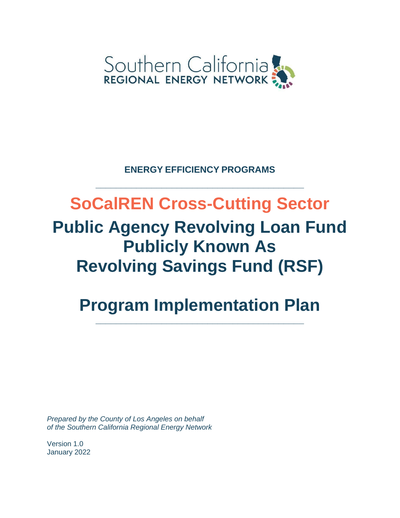

**ENERGY EFFICIENCY PROGRAMS**

**\_\_\_\_\_\_\_\_\_\_\_\_\_\_\_\_\_\_\_\_\_\_\_\_\_\_\_\_\_\_\_\_\_\_\_\_\_\_\_\_\_**

# **SoCalREN Cross-Cutting Sector Public Agency Revolving Loan Fund Publicly Known As Revolving Savings Fund (RSF)**

# **Program Implementation Plan**

**\_\_\_\_\_\_\_\_\_\_\_\_\_\_\_\_\_\_\_\_\_\_\_\_\_\_\_\_\_\_\_\_\_\_\_\_\_\_\_\_\_**

*Prepared by the County of Los Angeles on behalf of the Southern California Regional Energy Network*

Version 1.0 January 2022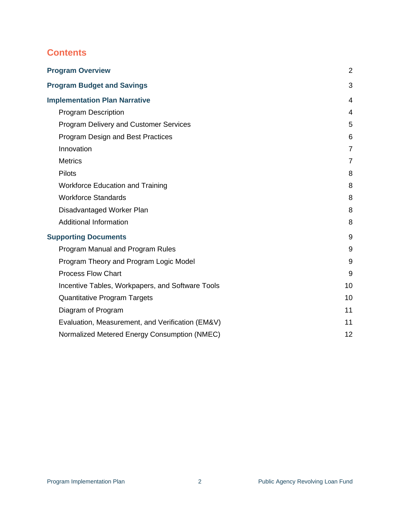# **Contents**

<span id="page-1-0"></span>

| <b>Program Overview</b>                          | $\overline{2}$ |
|--------------------------------------------------|----------------|
| <b>Program Budget and Savings</b>                | 3              |
| <b>Implementation Plan Narrative</b>             | 4              |
| <b>Program Description</b>                       | 4              |
| <b>Program Delivery and Customer Services</b>    | 5              |
| Program Design and Best Practices                | 6              |
| Innovation                                       | $\overline{7}$ |
| <b>Metrics</b>                                   | $\overline{7}$ |
| <b>Pilots</b>                                    | 8              |
| <b>Workforce Education and Training</b>          | 8              |
| <b>Workforce Standards</b>                       | 8              |
| Disadvantaged Worker Plan                        | 8              |
| <b>Additional Information</b>                    | 8              |
| <b>Supporting Documents</b>                      | 9              |
| Program Manual and Program Rules                 | 9              |
| Program Theory and Program Logic Model           | 9              |
| <b>Process Flow Chart</b>                        | 9              |
| Incentive Tables, Workpapers, and Software Tools | 10             |
| <b>Quantitative Program Targets</b>              | 10             |
| Diagram of Program                               | 11             |
| Evaluation, Measurement, and Verification (EM&V) | 11             |
| Normalized Metered Energy Consumption (NMEC)     | 12             |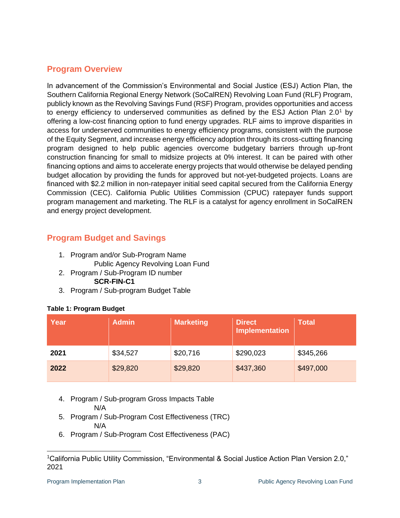# **Program Overview**

In advancement of the Commission's Environmental and Social Justice (ESJ) Action Plan, the Southern California Regional Energy Network (SoCalREN) Revolving Loan Fund (RLF) Program, publicly known as the Revolving Savings Fund (RSF) Program, provides opportunities and access to energy efficiency to underserved communities as defined by the ESJ Action Plan 2.0<sup>1</sup> by offering a low-cost financing option to fund energy upgrades. RLF aims to improve disparities in access for underserved communities to energy efficiency programs, consistent with the purpose of the Equity Segment, and increase energy efficiency adoption through its cross-cutting financing program designed to help public agencies overcome budgetary barriers through up-front construction financing for small to midsize projects at 0% interest. It can be paired with other financing options and aims to accelerate energy projects that would otherwise be delayed pending budget allocation by providing the funds for approved but not-yet-budgeted projects. Loans are financed with \$2.2 million in non-ratepayer initial seed capital secured from the California Energy Commission (CEC). California Public Utilities Commission (CPUC) ratepayer funds support program management and marketing. The RLF is a catalyst for agency enrollment in SoCalREN and energy project development.

# <span id="page-2-0"></span>**Program Budget and Savings**

- 1. Program and/or Sub-Program Name
	- Public Agency Revolving Loan Fund
- 2. Program / Sub-Program ID number **SCR-FIN-C1**
- 3. Program / Sub-program Budget Table

#### **Table 1: Program Budget**

| Year | <b>Admin</b> | <b>Marketing</b> | <b>Direct</b><br><b>Implementation</b> | <b>Total</b> |
|------|--------------|------------------|----------------------------------------|--------------|
| 2021 | \$34,527     | \$20,716         | \$290,023                              | \$345,266    |
| 2022 | \$29,820     | \$29,820         | \$437,360                              | \$497,000    |

- 4. Program / Sub-program Gross Impacts Table N/A
- 5. Program / Sub-Program Cost Effectiveness (TRC) N/A
- 6. Program / Sub-Program Cost Effectiveness (PAC)

<sup>1</sup>California Public Utility Commission, "Environmental & Social Justice Action Plan Version 2.0," 2021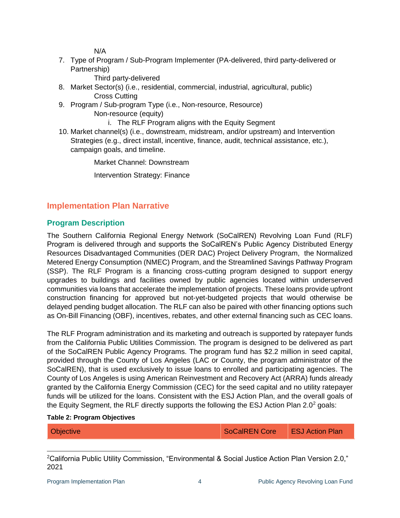N/A

7. Type of Program / Sub-Program Implementer (PA-delivered, third party-delivered or Partnership)

Third party-delivered

- 8. Market Sector(s) (i.e., residential, commercial, industrial, agricultural, public) Cross Cutting
- 9. Program / Sub-program Type (i.e., Non-resource, Resource) Non-resource (equity)

i. The RLF Program aligns with the Equity Segment

10. Market channel(s) (i.e., downstream, midstream, and/or upstream) and Intervention Strategies (e.g., direct install, incentive, finance, audit, technical assistance, etc.), campaign goals, and timeline.

Market Channel: Downstream

Intervention Strategy: Finance

# <span id="page-3-0"></span>**Implementation Plan Narrative**

# <span id="page-3-1"></span>**Program Description**

The Southern California Regional Energy Network (SoCalREN) Revolving Loan Fund (RLF) Program is delivered through and supports the SoCalREN's Public Agency Distributed Energy Resources Disadvantaged Communities (DER DAC) Project Delivery Program, the Normalized Metered Energy Consumption (NMEC) Program, and the Streamlined Savings Pathway Program (SSP). The RLF Program is a financing cross-cutting program designed to support energy upgrades to buildings and facilities owned by public agencies located within underserved communities via loans that accelerate the implementation of projects. These loans provide upfront construction financing for approved but not-yet-budgeted projects that would otherwise be delayed pending budget allocation. The RLF can also be paired with other financing options such as On-Bill Financing (OBF), incentives, rebates, and other external financing such as CEC loans.

The RLF Program administration and its marketing and outreach is supported by ratepayer funds from the California Public Utilities Commission. The program is designed to be delivered as part of the SoCalREN Public Agency Programs. The program fund has \$2.2 million in seed capital, provided through the County of Los Angeles (LAC or County, the program administrator of the SoCalREN), that is used exclusively to issue loans to enrolled and participating agencies. The County of Los Angeles is using American Reinvestment and Recovery Act (ARRA) funds already granted by the California Energy Commission (CEC) for the seed capital and no utility ratepayer funds will be utilized for the loans. Consistent with the ESJ Action Plan, and the overall goals of the Equity Segment, the RLF directly supports the following the ESJ Action Plan  $2.0<sup>2</sup>$  goals:

#### **Table 2: Program Objectives**

| Objective | SoCalREN Core | <b>ESJ Action Plan</b> |
|-----------|---------------|------------------------|
|-----------|---------------|------------------------|

<sup>&</sup>lt;sup>2</sup>California Public Utility Commission, "Environmental & Social Justice Action Plan Version 2.0," 2021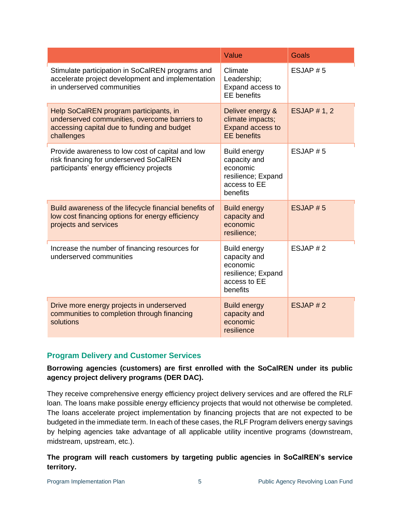|                                                                                                                                                      | Value                                                                                             | Goals              |
|------------------------------------------------------------------------------------------------------------------------------------------------------|---------------------------------------------------------------------------------------------------|--------------------|
| Stimulate participation in SoCalREN programs and<br>accelerate project development and implementation<br>in underserved communities                  | Climate<br>Leadership;<br>Expand access to<br><b>EE</b> benefits                                  | ESJAP # 5          |
| Help SoCalREN program participants, in<br>underserved communities, overcome barriers to<br>accessing capital due to funding and budget<br>challenges | Deliver energy &<br>climate impacts;<br><b>Expand access to</b><br><b>EE</b> benefits             | <b>ESJAP #1, 2</b> |
| Provide awareness to low cost of capital and low<br>risk financing for underserved SoCalREN<br>participants' energy efficiency projects              | <b>Build energy</b><br>capacity and<br>economic<br>resilience; Expand<br>access to EE<br>benefits | ESJAP $# 5$        |
| Build awareness of the lifecycle financial benefits of<br>low cost financing options for energy efficiency<br>projects and services                  | <b>Build energy</b><br>capacity and<br>economic<br>resilience;                                    | ESJAP#5            |
| Increase the number of financing resources for<br>underserved communities                                                                            | <b>Build energy</b><br>capacity and<br>economic<br>resilience; Expand<br>access to EE<br>benefits | ESJAP # 2          |
| Drive more energy projects in underserved<br>communities to completion through financing<br>solutions                                                | <b>Build energy</b><br>capacity and<br>economic<br>resilience                                     | ESJAP # 2          |

## <span id="page-4-0"></span>**Program Delivery and Customer Services**

#### **Borrowing agencies (customers) are first enrolled with the SoCalREN under its public agency project delivery programs (DER DAC).**

They receive comprehensive energy efficiency project delivery services and are offered the RLF loan. The loans make possible energy efficiency projects that would not otherwise be completed. The loans accelerate project implementation by financing projects that are not expected to be budgeted in the immediate term. In each of these cases, the RLF Program delivers energy savings by helping agencies take advantage of all applicable utility incentive programs (downstream, midstream, upstream, etc.).

# **The program will reach customers by targeting public agencies in SoCalREN's service territory.**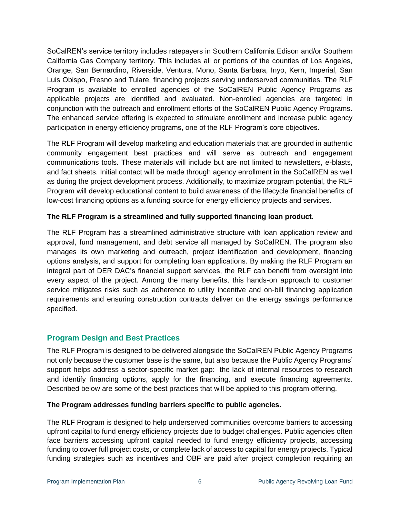SoCalREN's service territory includes ratepayers in Southern California Edison and/or Southern California Gas Company territory. This includes all or portions of the counties of Los Angeles, Orange, San Bernardino, Riverside, Ventura, Mono, Santa Barbara, Inyo, Kern, Imperial, San Luis Obispo, Fresno and Tulare, financing projects serving underserved communities. The RLF Program is available to enrolled agencies of the SoCalREN Public Agency Programs as applicable projects are identified and evaluated. Non-enrolled agencies are targeted in conjunction with the outreach and enrollment efforts of the SoCalREN Public Agency Programs. The enhanced service offering is expected to stimulate enrollment and increase public agency participation in energy efficiency programs, one of the RLF Program's core objectives.

The RLF Program will develop marketing and education materials that are grounded in authentic community engagement best practices and will serve as outreach and engagement communications tools. These materials will include but are not limited to newsletters, e-blasts, and fact sheets. Initial contact will be made through agency enrollment in the SoCalREN as well as during the project development process. Additionally, to maximize program potential, the RLF Program will develop educational content to build awareness of the lifecycle financial benefits of low-cost financing options as a funding source for energy efficiency projects and services.

#### **The RLF Program is a streamlined and fully supported financing loan product.**

The RLF Program has a streamlined administrative structure with loan application review and approval, fund management, and debt service all managed by SoCalREN. The program also manages its own marketing and outreach, project identification and development, financing options analysis, and support for completing loan applications. By making the RLF Program an integral part of DER DAC's financial support services, the RLF can benefit from oversight into every aspect of the project. Among the many benefits, this hands-on approach to customer service mitigates risks such as adherence to utility incentive and on-bill financing application requirements and ensuring construction contracts deliver on the energy savings performance specified.

# <span id="page-5-0"></span>**Program Design and Best Practices**

The RLF Program is designed to be delivered alongside the SoCalREN Public Agency Programs not only because the customer base is the same, but also because the Public Agency Programs' support helps address a sector-specific market gap: the lack of internal resources to research and identify financing options, apply for the financing, and execute financing agreements. Described below are some of the best practices that will be applied to this program offering.

## **The Program addresses funding barriers specific to public agencies.**

The RLF Program is designed to help underserved communities overcome barriers to accessing upfront capital to fund energy efficiency projects due to budget challenges. Public agencies often face barriers accessing upfront capital needed to fund energy efficiency projects, accessing funding to cover full project costs, or complete lack of access to capital for energy projects. Typical funding strategies such as incentives and OBF are paid after project completion requiring an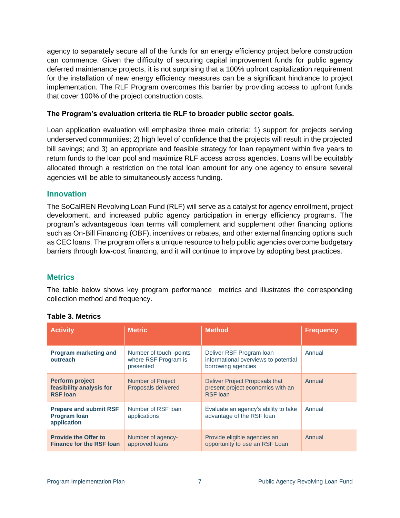agency to separately secure all of the funds for an energy efficiency project before construction can commence. Given the difficulty of securing capital improvement funds for public agency deferred maintenance projects, it is not surprising that a 100% upfront capitalization requirement for the installation of new energy efficiency measures can be a significant hindrance to project implementation. The RLF Program overcomes this barrier by providing access to upfront funds that cover 100% of the project construction costs.

#### **The Program's evaluation criteria tie RLF to broader public sector goals.**

Loan application evaluation will emphasize three main criteria: 1) support for projects serving underserved communities; 2) high level of confidence that the projects will result in the projected bill savings; and 3) an appropriate and feasible strategy for loan repayment within five years to return funds to the loan pool and maximize RLF access across agencies. Loans will be equitably allocated through a restriction on the total loan amount for any one agency to ensure several agencies will be able to simultaneously access funding.

#### <span id="page-6-0"></span>**Innovation**

The SoCalREN Revolving Loan Fund (RLF) will serve as a catalyst for agency enrollment, project development, and increased public agency participation in energy efficiency programs. The program's advantageous loan terms will complement and supplement other financing options such as On-Bill Financing (OBF), incentives or rebates, and other external financing options such as CEC loans. The program offers a unique resource to help public agencies overcome budgetary barriers through low-cost financing, and it will continue to improve by adopting best practices.

#### <span id="page-6-1"></span>**Metrics**

The table below shows key program performance metrics and illustrates the corresponding collection method and frequency.

| <b>Activity</b>                                                       | <b>Metric</b>                                                | <b>Method</b>                                                                          | <b>Frequency</b> |
|-----------------------------------------------------------------------|--------------------------------------------------------------|----------------------------------------------------------------------------------------|------------------|
| <b>Program marketing and</b><br>outreach                              | Number of touch -points<br>where RSF Program is<br>presented | Deliver RSF Program Ioan<br>informational overviews to potential<br>borrowing agencies | Annual           |
| <b>Perform project</b><br>feasibility analysis for<br><b>RSF loan</b> | <b>Number of Project</b><br>Proposals delivered              | Deliver Project Proposals that<br>present project economics with an<br><b>RSF</b> loan | Annual           |
| <b>Prepare and submit RSF</b><br><b>Program Ioan</b><br>application   | Number of RSF loan<br>applications                           | Evaluate an agency's ability to take<br>advantage of the RSF loan                      | Annual           |
| <b>Provide the Offer to</b><br><b>Finance for the RSF loan</b>        | Number of agency-<br>approved loans                          | Provide eligible agencies an<br>opportunity to use an RSF Loan                         | Annual           |

#### **Table 3. Metrics**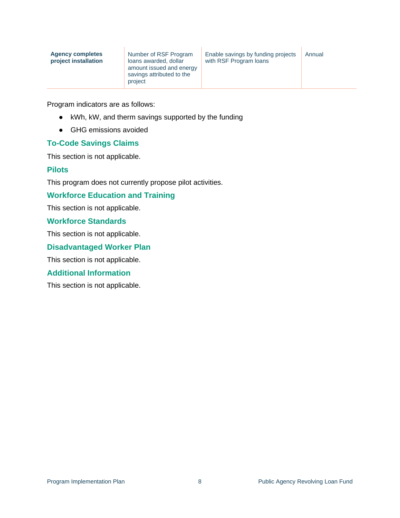| Number of RSF Program<br><b>Agency completes</b><br>project installation<br>loans awarded, dollar<br>amount issued and energy<br>savings attributed to the<br>project | Enable savings by funding projects<br>with RSF Program loans | Annual |
|-----------------------------------------------------------------------------------------------------------------------------------------------------------------------|--------------------------------------------------------------|--------|
|-----------------------------------------------------------------------------------------------------------------------------------------------------------------------|--------------------------------------------------------------|--------|

Program indicators are as follows:

- kWh, kW, and therm savings supported by the funding
- GHG emissions avoided

#### **To-Code Savings Claims**

This section is not applicable.

#### <span id="page-7-0"></span>**Pilots**

This program does not currently propose pilot activities.

#### <span id="page-7-1"></span>**Workforce Education and Training**

This section is not applicable.

#### <span id="page-7-2"></span>**Workforce Standards**

This section is not applicable.

#### <span id="page-7-3"></span>**Disadvantaged Worker Plan**

This section is not applicable.

#### <span id="page-7-4"></span>**Additional Information**

This section is not applicable.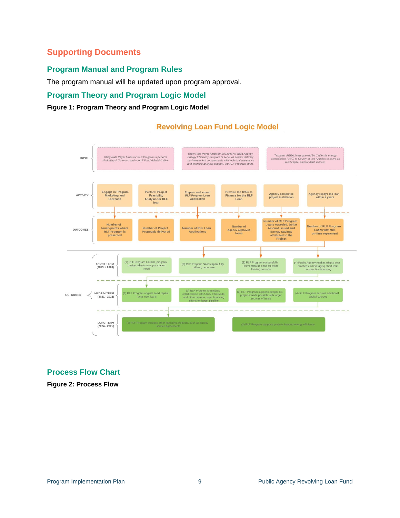# <span id="page-8-0"></span>**Supporting Documents**

# <span id="page-8-1"></span>**Program Manual and Program Rules**

The program manual will be updated upon program approval.

# <span id="page-8-2"></span>**Program Theory and Program Logic Model**

#### **Figure 1: Program Theory and Program Logic Model**



# <span id="page-8-3"></span>**Process Flow Chart**

**Figure 2: Process Flow**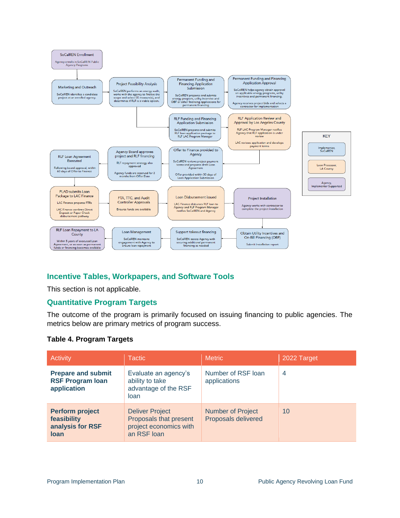

## <span id="page-9-0"></span>**Incentive Tables, Workpapers, and Software Tools**

This section is not applicable.

## <span id="page-9-1"></span>**Quantitative Program Targets**

The outcome of the program is primarily focused on issuing financing to public agencies. The metrics below are primary metrics of program success.

#### **Table 4. Program Targets**

| Activity                                                            | <b>Tactic</b>                                                                             | <b>Metric</b>                                   | 2022 Target |
|---------------------------------------------------------------------|-------------------------------------------------------------------------------------------|-------------------------------------------------|-------------|
| <b>Prepare and submit</b><br><b>RSF Program Ioan</b><br>application | Evaluate an agency's<br>ability to take<br>advantage of the RSF<br>loan                   | Number of RSF loan<br>applications              | 4           |
| <b>Perform project</b><br>feasibility<br>analysis for RSF<br>loan   | <b>Deliver Project</b><br>Proposals that present<br>project economics with<br>an RSF loan | <b>Number of Project</b><br>Proposals delivered | 10          |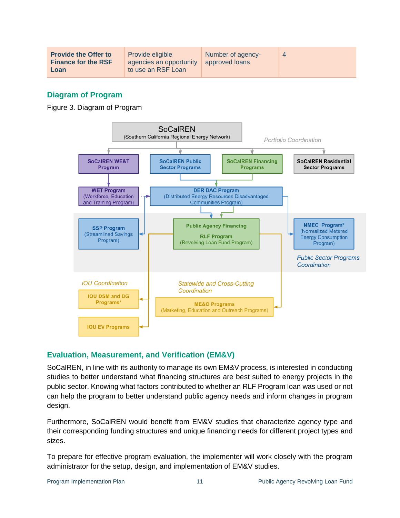# <span id="page-10-0"></span>**Diagram of Program**

Figure 3. Diagram of Program



## <span id="page-10-1"></span>**Evaluation, Measurement, and Verification (EM&V)**

SoCalREN, in line with its authority to manage its own EM&V process, is interested in conducting studies to better understand what financing structures are best suited to energy projects in the public sector. Knowing what factors contributed to whether an RLF Program loan was used or not can help the program to better understand public agency needs and inform changes in program design.

Furthermore, SoCalREN would benefit from EM&V studies that characterize agency type and their corresponding funding structures and unique financing needs for different project types and sizes.

To prepare for effective program evaluation, the implementer will work closely with the program administrator for the setup, design, and implementation of EM&V studies.